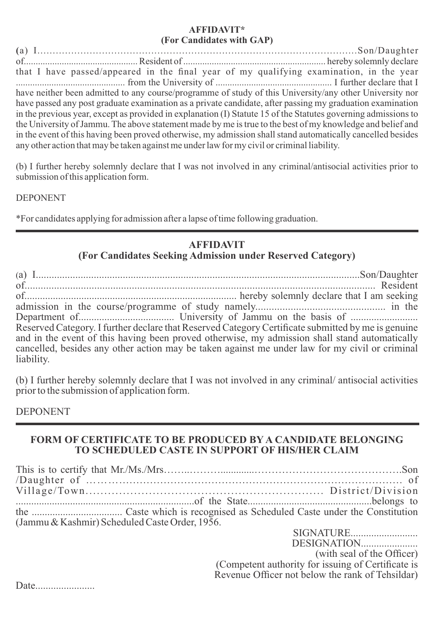#### **AFFIDAVIT\* (For Candidates with GAP)**

**(**a) I........................................................................................................Son/Daughter of................................................ Resident of ............................................................ hereby solemnly declare that I have passed/appeared in the final year of my qualifying examination, in the year .............................................. from the University of ................................................. I further declare that I have neither been admitted to any course/programme of study of this University/any other University nor have passed any post graduate examination as a private candidate, after passing my graduation examination in the previous year, except as provided in explanation (I) Statute 15 of the Statutes governing admissions to the University of Jammu. The above statement made by me is true to the best of my knowledge and belief and in the event of this having been proved otherwise, my admission shall stand automatically cancelled besides any other action that may be taken against me under law for my civil or criminal liability.

(b) I further hereby solemnly declare that I was not involved in any criminal/antisocial activities prior to submission of this application form.

DEPONENT

\*For candidates applying for admission after a lapse of time following graduation.

# **AFFIDAVIT**

**(For Candidates Seeking Admission under Reserved Category)**

(a) I...........................................................................................................................Son/Daughter of................................................................................................................................... Resident of.................................................................................. hereby solemnly declare that I am seeking admission in the course/programme of study namely................................................ in the Department of..................................... University of Jammu on the basis of .......................... Reserved Category. I further declare that Reserved Category Certificate submitted by me is genuine and in the event of this having been proved otherwise, my admission shall stand automatically cancelled, besides any other action may be taken against me under law for my civil or criminal liability.

(b) I further hereby solemnly declare that I was not involved in any criminal/ antisocial activities prior to the submission of application form.

DEPONENT

### **FORM OF CERTIFICATE TO BE PRODUCED BY A CANDIDATE BELONGING TO SCHEDULED CASTE IN SUPPORT OF HIS/HER CLAIM**

This is to certify that Mr./Ms./Mrs……..……….............…………………………………….Son /Daughter of ………................................................................................... of Village/Town................................................................ District/Division .....................................................................of the State................................................belongs to the ................................... Caste which is recognised as Scheduled Caste under the Constitution (Jammu & Kashmir) Scheduled Caste Order, 1956. SIGNATURE..........................

DESIGNATION...................... (with seal of the Officer) (Competent authority for issuing of Certificate is Revenue Officer not below the rank of Tehsildar)

Date.......................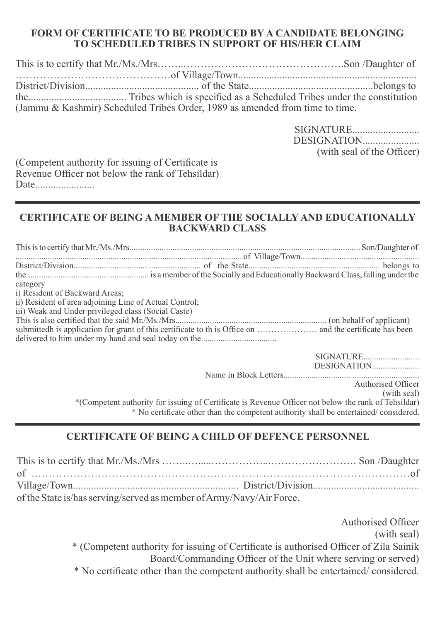#### **FORM OF CERTIFICATE TO BE PRODUCED BY A CANDIDATE BELONGING TO SCHEDULED TRIBES IN SUPPORT OF HIS/HER CLAIM**

| (Jammu & Kashmir) Scheduled Tribes Order, 1989 as amended from time to time. |  |
|------------------------------------------------------------------------------|--|

SIGNATURE.......................... DESIGNATION...................... (with seal of the Officer)

(Competent authority for issuing of Certificate is Revenue Officer not below the rank of Tehsildar) Date.......................

#### **CERTIFICATE OF BEING A MEMBER OF THE SOCIALLY AND EDUCATIONALLY BACKWARD CLASS**

This is to certify that Mr./Ms./Mrs........................................................................................................... Son/Daughter of ......................................................................................................... of Village/Town....................................................... District/Division........................................................... of the State............................................................. belongs to the......................................................... is a member of the Socially and Educationally Backward Class, falling under the category i) Resident of Backward Areas; ii) Resident of area adjoining Line of Actual Control; iii) Weak and Under privileged class (Social Caste) This is also certied that the said Mr./Ms./Mrs...................................................................... (on behalf of applicant) submittedh is application for grant of this certicate to th is Ofce on ………………… and the certicate has been delivered to him under my hand and seal today on the...................................

| SIGNATURE                                                                                            |
|------------------------------------------------------------------------------------------------------|
|                                                                                                      |
|                                                                                                      |
| Authorised Officer                                                                                   |
| (with seal)                                                                                          |
| *(Competent authority for issuing of Certificate is Revenue Officer not below the rank of Tehsildar) |
| * No certificate other than the competent authority shall be entertained/considered.                 |

## **CERTIFICATE OF BEING A CHILD OF DEFENCE PERSONNEL**

| of the State is/has serving/served as member of Army/Navy/Air Force. |  |
|----------------------------------------------------------------------|--|

Authorised Officer (with seal) \* (Competent authority for issuing of Certificate is authorised Officer of Zila Sainik Board/Commanding Officer of the Unit where serving or served) \* No certicate other than the competent authority shall be entertained/ considered.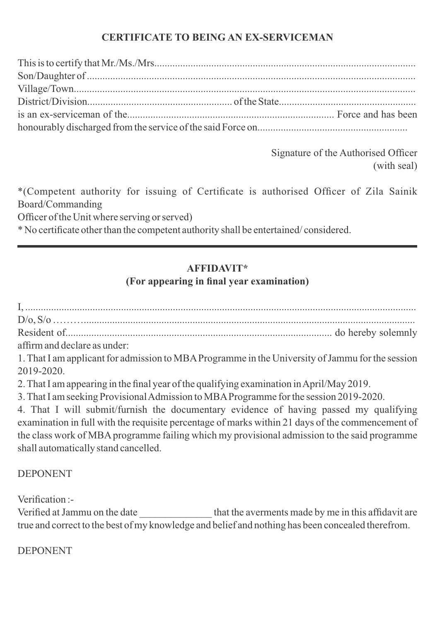## **CERTIFICATE TO BEING AN EX-SERVICEMAN**

Signature of the Authorised Officer (with seal)

\*(Competent authority for issuing of Certificate is authorised Officer of Zila Sainik Board/Commanding

Officer of the Unit where serving or served)

\* No certicate other than the competent authority shall be entertained/ considered.

# **AFFIDAVIT\***

# **(For appearing in final year examination)**

I, ....................................................................................................................................................... D/o, S/o ………................................................................................................................................ Resident of....................................................................................................... do hereby solemnly affirm and declare as under: 1. That I am applicant for admission to MBA Programme in the University of Jammu for the session 2019-2020. 2. That I am appearing in the final year of the qualifying examination in April/May 2019. 3. That I am seeking Provisional Admission to MBAProgramme for the session 2019-2020. 4. That I will submit/furnish the documentary evidence of having passed my qualifying

examination in full with the requisite percentage of marks within 21 days of the commencement of the class work of MBA programme failing which my provisional admission to the said programme shall automatically stand cancelled.

DEPONENT

Verification :-

Verified at Jammu on the date that the averments made by me in this affidavit are true and correct to the best of my knowledge and belief and nothing has been concealed therefrom.

DEPONENT